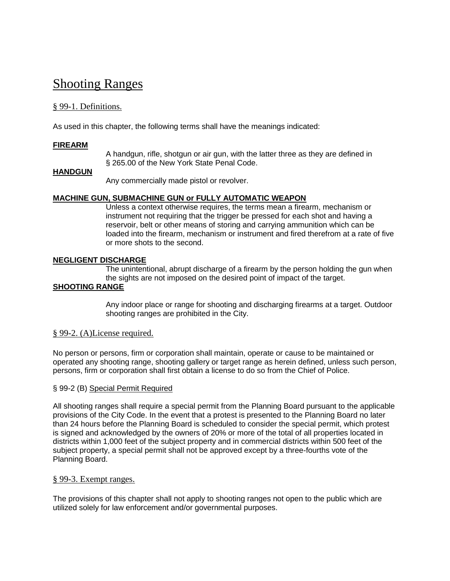# [Shooting Ranges](http://www.ecode360.com/print/RO0104?guid=8678371&children=true#8678371)

# § [99-1. Definitions.](http://www.ecode360.com/print/RO0104?guid=8678371&children=true#8678372)

As used in this chapter, the following terms shall have the meanings indicated:

#### **[FIREARM](http://www.ecode360.com/print/15455736#15455736)**

A handgun, rifle, shotgun or air gun, with the latter three as they are defined in § 265.00 of the New York State Penal Code.

#### **[HANDGUN](http://www.ecode360.com/print/15455737#15455737)**

Any commercially made pistol or revolver.

#### **[MACHINE GUN, SUBMACHINE GUN or FULLY AUTOMATIC WEAPON](http://www.ecode360.com/print/15455738#15455738)**

Unless a context otherwise requires, the terms mean a firearm, mechanism or instrument not requiring that the trigger be pressed for each shot and having a reservoir, belt or other means of storing and carrying ammunition which can be loaded into the firearm, mechanism or instrument and fired therefrom at a rate of five or more shots to the second.

#### **[NEGLIGENT DISCHARGE](http://www.ecode360.com/print/15455739#15455739)**

The unintentional, abrupt discharge of a firearm by the person holding the gun when the sights are not imposed on the desired point of impact of the target.

#### **[SHOOTING RANGE](http://www.ecode360.com/print/15455740#15455740)**

Any indoor place or range for shooting and discharging firearms at a target. Outdoor shooting ranges are prohibited in the City.

#### § [99-2. \(A\)License required.](http://www.ecode360.com/print/RO0104?guid=8678371&children=true#8678376)

No person or persons, firm or corporation shall maintain, operate or cause to be maintained or operated any shooting range, shooting gallery or target range as herein defined, unless such person, persons, firm or corporation shall first obtain a license to do so from the Chief of Police.

#### § 99-2 (B) Special Permit Required

All shooting ranges shall require a special permit from the Planning Board pursuant to the applicable provisions of the City Code. In the event that a protest is presented to the Planning Board no later than 24 hours before the Planning Board is scheduled to consider the special permit, which protest is signed and acknowledged by the owners of 20% or more of the total of all properties located in districts within 1,000 feet of the subject property and in commercial districts within 500 feet of the subject property, a special permit shall not be approved except by a three-fourths vote of the Planning Board.

#### § [99-3. Exempt ranges.](http://www.ecode360.com/print/RO0104?guid=8678371&children=true#8678377)

The provisions of this chapter shall not apply to shooting ranges not open to the public which are utilized solely for law enforcement and/or governmental purposes.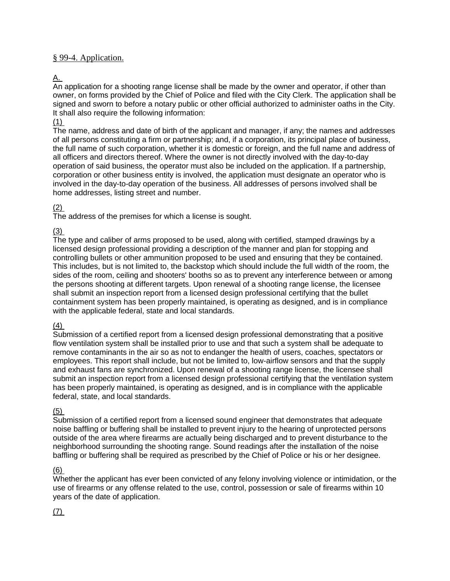### § [99-4. Application.](http://www.ecode360.com/print/RO0104?guid=8678371&children=true#8678378)

### [A.](http://www.ecode360.com/print/15455741#15455741)

An application for a shooting range license shall be made by the owner and operator, if other than owner, on forms provided by the Chief of Police and filed with the City Clerk. The application shall be signed and sworn to before a notary public or other official authorized to administer oaths in the City. It shall also require the following information:

#### [\(1\)](http://www.ecode360.com/print/15455742#15455742)

The name, address and date of birth of the applicant and manager, if any; the names and addresses of all persons constituting a firm or partnership; and, if a corporation, its principal place of business, the full name of such corporation, whether it is domestic or foreign, and the full name and address of all officers and directors thereof. Where the owner is not directly involved with the day-to-day operation of said business, the operator must also be included on the application. If a partnership, corporation or other business entity is involved, the application must designate an operator who is involved in the day-to-day operation of the business. All addresses of persons involved shall be home addresses, listing street and number.

#### [\(2\)](http://www.ecode360.com/print/15455743#15455743)

The address of the premises for which a license is sought.

### [\(3\)](http://www.ecode360.com/print/15455744#15455744)

The type and caliber of arms proposed to be used, along with certified, stamped drawings by a licensed design professional providing a description of the manner and plan for stopping and controlling bullets or other ammunition proposed to be used and ensuring that they be contained. This includes, but is not limited to, the backstop which should include the full width of the room, the sides of the room, ceiling and shooters' booths so as to prevent any interference between or among the persons shooting at different targets. Upon renewal of a shooting range license, the licensee shall submit an inspection report from a licensed design professional certifying that the bullet containment system has been properly maintained, is operating as designed, and is in compliance with the applicable federal, state and local standards.

# $(4)$

Submission of a certified report from a licensed design professional demonstrating that a positive flow ventilation system shall be installed prior to use and that such a system shall be adequate to remove contaminants in the air so as not to endanger the health of users, coaches, spectators or employees. This report shall include, but not be limited to, low-airflow sensors and that the supply and exhaust fans are synchronized. Upon renewal of a shooting range license, the licensee shall submit an inspection report from a licensed design professional certifying that the ventilation system has been properly maintained, is operating as designed, and is in compliance with the applicable federal, state, and local standards.

# [\(5\)](http://www.ecode360.com/print/15455746#15455746)

Submission of a certified report from a licensed sound engineer that demonstrates that adequate noise baffling or buffering shall be installed to prevent injury to the hearing of unprotected persons outside of the area where firearms are actually being discharged and to prevent disturbance to the neighborhood surrounding the shooting range. Sound readings after the installation of the noise baffling or buffering shall be required as prescribed by the Chief of Police or his or her designee.

#### [\(6\)](http://www.ecode360.com/print/15455747#15455747)

Whether the applicant has ever been convicted of any felony involving violence or intimidation, or the use of firearms or any offense related to the use, control, possession or sale of firearms within 10 years of the date of application.

# [\(7\)](http://www.ecode360.com/print/15455748#15455748)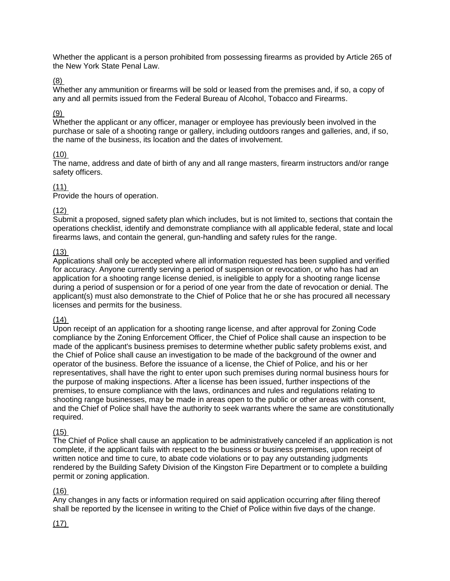Whether the applicant is a person prohibited from possessing firearms as provided by Article 265 of the New York State Penal Law.

### [\(8\)](http://www.ecode360.com/print/15455749#15455749)

Whether any ammunition or firearms will be sold or leased from the premises and, if so, a copy of any and all permits issued from the Federal Bureau of Alcohol, Tobacco and Firearms.

### [\(9\)](http://www.ecode360.com/print/15455750#15455750)

Whether the applicant or any officer, manager or employee has previously been involved in the purchase or sale of a shooting range or gallery, including outdoors ranges and galleries, and, if so, the name of the business, its location and the dates of involvement.

# [\(10\)](http://www.ecode360.com/print/15455751#15455751)

The name, address and date of birth of any and all range masters, firearm instructors and/or range safety officers.

# [\(11\)](http://www.ecode360.com/print/15455752#15455752)

Provide the hours of operation.

### [\(12\)](http://www.ecode360.com/print/15455753#15455753)

Submit a proposed, signed safety plan which includes, but is not limited to, sections that contain the operations checklist, identify and demonstrate compliance with all applicable federal, state and local firearms laws, and contain the general, gun-handling and safety rules for the range.

### [\(13\)](http://www.ecode360.com/print/15455754#15455754)

Applications shall only be accepted where all information requested has been supplied and verified for accuracy. Anyone currently serving a period of suspension or revocation, or who has had an application for a shooting range license denied, is ineligible to apply for a shooting range license during a period of suspension or for a period of one year from the date of revocation or denial. The applicant(s) must also demonstrate to the Chief of Police that he or she has procured all necessary licenses and permits for the business.

### $(14)$

Upon receipt of an application for a shooting range license, and after approval for Zoning Code compliance by the Zoning Enforcement Officer, the Chief of Police shall cause an inspection to be made of the applicant's business premises to determine whether public safety problems exist, and the Chief of Police shall cause an investigation to be made of the background of the owner and operator of the business. Before the issuance of a license, the Chief of Police, and his or her representatives, shall have the right to enter upon such premises during normal business hours for the purpose of making inspections. After a license has been issued, further inspections of the premises, to ensure compliance with the laws, ordinances and rules and regulations relating to shooting range businesses, may be made in areas open to the public or other areas with consent, and the Chief of Police shall have the authority to seek warrants where the same are constitutionally required.

#### [\(15\)](http://www.ecode360.com/print/15455756#15455756)

The Chief of Police shall cause an application to be administratively canceled if an application is not complete, if the applicant fails with respect to the business or business premises, upon receipt of written notice and time to cure, to abate code violations or to pay any outstanding judgments rendered by the Building Safety Division of the Kingston Fire Department or to complete a building permit or zoning application.

# $(16)$

Any changes in any facts or information required on said application occurring after filing thereof shall be reported by the licensee in writing to the Chief of Police within five days of the change.

# $(17)$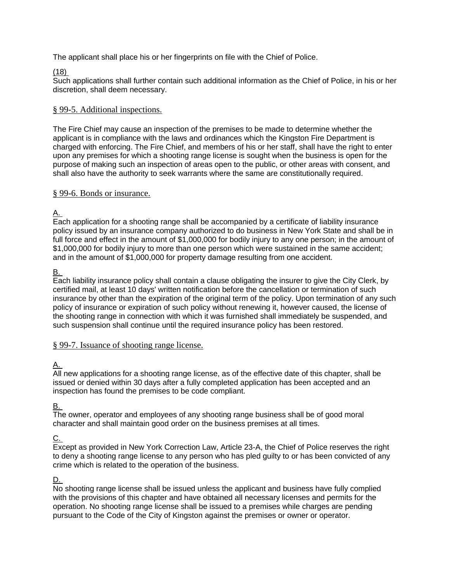The applicant shall place his or her fingerprints on file with the Chief of Police.

# [\(18\)](http://www.ecode360.com/print/15455759#15455759)

Such applications shall further contain such additional information as the Chief of Police, in his or her discretion, shall deem necessary.

### § [99-5. Additional inspections.](http://www.ecode360.com/print/RO0104?guid=8678371&children=true#8678379)

The Fire Chief may cause an inspection of the premises to be made to determine whether the applicant is in compliance with the laws and ordinances which the Kingston Fire Department is charged with enforcing. The Fire Chief, and members of his or her staff, shall have the right to enter upon any premises for which a shooting range license is sought when the business is open for the purpose of making such an inspection of areas open to the public, or other areas with consent, and shall also have the authority to seek warrants where the same are constitutionally required.

### § [99-6. Bonds or insurance.](http://www.ecode360.com/print/RO0104?guid=8678371&children=true#8678380)

[A.](http://www.ecode360.com/print/15455760#15455760)

Each application for a shooting range shall be accompanied by a certificate of liability insurance policy issued by an insurance company authorized to do business in New York State and shall be in full force and effect in the amount of \$1,000,000 for bodily injury to any one person; in the amount of \$1,000,000 for bodily injury to more than one person which were sustained in the same accident; and in the amount of \$1,000,000 for property damage resulting from one accident.

# [B.](http://www.ecode360.com/print/15455761#15455761)

Each liability insurance policy shall contain a clause obligating the insurer to give the City Clerk, by certified mail, at least 10 days' written notification before the cancellation or termination of such insurance by other than the expiration of the original term of the policy. Upon termination of any such policy of insurance or expiration of such policy without renewing it, however caused, the license of the shooting range in connection with which it was furnished shall immediately be suspended, and such suspension shall continue until the required insurance policy has been restored.

# § [99-7. Issuance of shooting range license.](http://www.ecode360.com/print/RO0104?guid=8678371&children=true#8678381)

# [A.](http://www.ecode360.com/print/15455762#15455762)

All new applications for a shooting range license, as of the effective date of this chapter, shall be issued or denied within 30 days after a fully completed application has been accepted and an inspection has found the premises to be code compliant.

# [B.](http://www.ecode360.com/print/15455763#15455763)

The owner, operator and employees of any shooting range business shall be of good moral character and shall maintain good order on the business premises at all times.

# [C.](http://www.ecode360.com/print/15455764#15455764)

Except as provided in New York Correction Law, Article 23-A, the Chief of Police reserves the right to deny a shooting range license to any person who has pled guilty to or has been convicted of any crime which is related to the operation of the business.

# [D.](http://www.ecode360.com/print/15455765#15455765)

No shooting range license shall be issued unless the applicant and business have fully complied with the provisions of this chapter and have obtained all necessary licenses and permits for the operation. No shooting range license shall be issued to a premises while charges are pending pursuant to the Code of the City of Kingston against the premises or owner or operator.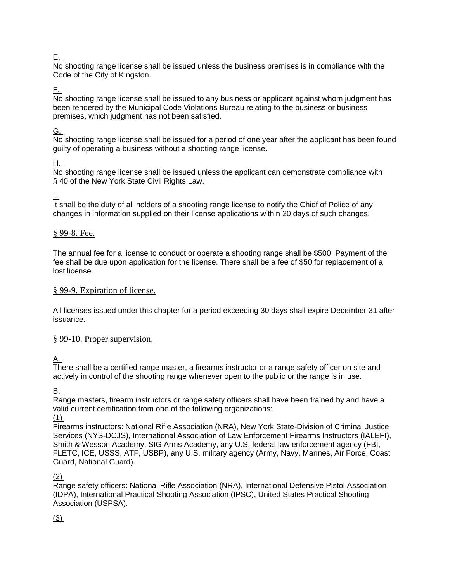# [E.](http://www.ecode360.com/print/15455766#15455766)

No shooting range license shall be issued unless the business premises is in compliance with the Code of the City of Kingston.

# [F.](http://www.ecode360.com/print/15455767#15455767)

No shooting range license shall be issued to any business or applicant against whom judgment has been rendered by the Municipal Code Violations Bureau relating to the business or business premises, which judgment has not been satisfied.

# [G.](http://www.ecode360.com/print/15455768#15455768)

No shooting range license shall be issued for a period of one year after the applicant has been found guilty of operating a business without a shooting range license.

# [H.](http://www.ecode360.com/print/15455769#15455769)

No shooting range license shall be issued unless the applicant can demonstrate compliance with § 40 of the New York State Civil Rights Law.

[I.](http://www.ecode360.com/print/15455770#15455770)

It shall be the duty of all holders of a shooting range license to notify the Chief of Police of any changes in information supplied on their license applications within 20 days of such changes.

# § [99-8. Fee.](http://www.ecode360.com/print/RO0104?guid=8678371&children=true#8678382)

The annual fee for a license to conduct or operate a shooting range shall be \$500. Payment of the fee shall be due upon application for the license. There shall be a fee of \$50 for replacement of a lost license.

### § [99-9. Expiration of license.](http://www.ecode360.com/print/RO0104?guid=8678371&children=true#8678401)

All licenses issued under this chapter for a period exceeding 30 days shall expire December 31 after issuance.

# § [99-10. Proper supervision.](http://www.ecode360.com/print/RO0104?guid=8678371&children=true#15455771)

# <u>[A.](http://www.ecode360.com/print/15455772#15455772)</u>

There shall be a certified range master, a firearms instructor or a range safety officer on site and actively in control of the shooting range whenever open to the public or the range is in use.

[B.](http://www.ecode360.com/print/15455773#15455773)

Range masters, firearm instructors or range safety officers shall have been trained by and have a valid current certification from one of the following organizations:

[\(1\)](http://www.ecode360.com/print/15455774#15455774)

Firearms instructors: National Rifle Association (NRA), New York State-Division of Criminal Justice Services (NYS-DCJS), International Association of Law Enforcement Firearms Instructors (IALEFI), Smith & Wesson Academy, SIG Arms Academy, any U.S. federal law enforcement agency (FBI, FLETC, ICE, USSS, ATF, USBP), any U.S. military agency (Army, Navy, Marines, Air Force, Coast Guard, National Guard).

#### [\(2\)](http://www.ecode360.com/print/15455775#15455775)

Range safety officers: National Rifle Association (NRA), International Defensive Pistol Association (IDPA), International Practical Shooting Association (IPSC), United States Practical Shooting Association (USPSA).

[\(3\)](http://www.ecode360.com/print/15455776#15455776)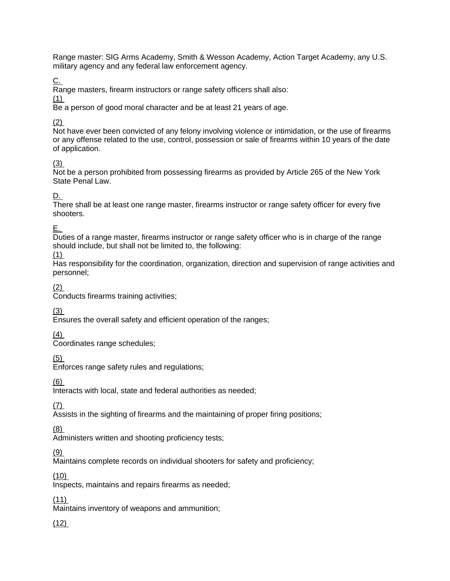Range master: SIG Arms Academy, Smith & Wesson Academy, Action Target Academy, any U.S. military agency and any federal law enforcement agency.

<u>[C.](http://www.ecode360.com/print/15455777#15455777)</u>

Range masters, firearm instructors or range safety officers shall also:

[\(1\)](http://www.ecode360.com/print/15455778#15455778)

Be a person of good moral character and be at least 21 years of age.

[\(2\)](http://www.ecode360.com/print/15455779#15455779)

Not have ever been convicted of any felony involving violence or intimidation, or the use of firearms or any offense related to the use, control, possession or sale of firearms within 10 years of the date of application.

# [\(3\)](http://www.ecode360.com/print/15455780#15455780)

Not be a person prohibited from possessing firearms as provided by Article 265 of the New York State Penal Law.

# [D.](http://www.ecode360.com/print/15455781#15455781)

There shall be at least one range master, firearms instructor or range safety officer for every five shooters.

[E.](http://www.ecode360.com/print/15455782#15455782)

Duties of a range master, firearms instructor or range safety officer who is in charge of the range should include, but shall not be limited to, the following:

[\(1\)](http://www.ecode360.com/print/15455783#15455783)

Has responsibility for the coordination, organization, direction and supervision of range activities and personnel;

[\(2\)](http://www.ecode360.com/print/15455784#15455784)

Conducts firearms training activities;

 $(3)$ 

Ensures the overall safety and efficient operation of the ranges;

[\(4\)](http://www.ecode360.com/print/15455786#15455786)

Coordinates range schedules;

[\(5\)](http://www.ecode360.com/print/15455787#15455787)

Enforces range safety rules and regulations;

[\(6\)](http://www.ecode360.com/print/15455788#15455788)

Interacts with local, state and federal authorities as needed;

[\(7\)](http://www.ecode360.com/print/15455789#15455789)

Assists in the sighting of firearms and the maintaining of proper firing positions;

[\(8\)](http://www.ecode360.com/print/15455790#15455790)

Administers written and shooting proficiency tests;

[\(9\)](http://www.ecode360.com/print/15455791#15455791)

Maintains complete records on individual shooters for safety and proficiency;

[\(10\)](http://www.ecode360.com/print/15455792#15455792)

Inspects, maintains and repairs firearms as needed;

 $(11)$ 

Maintains inventory of weapons and ammunition;

[\(12\)](http://www.ecode360.com/print/15455794#15455794)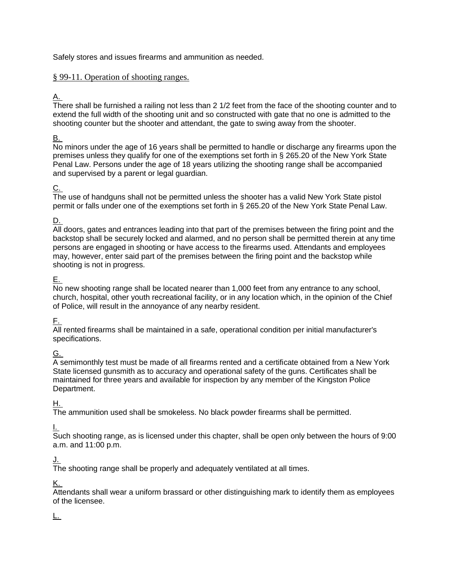Safely stores and issues firearms and ammunition as needed.

# § [99-11. Operation of shooting ranges.](http://www.ecode360.com/print/RO0104?guid=8678371&children=true#15455795)

# <u>[A.](http://www.ecode360.com/print/15455796#15455796)</u>

There shall be furnished a railing not less than 2 1/2 feet from the face of the shooting counter and to extend the full width of the shooting unit and so constructed with gate that no one is admitted to the shooting counter but the shooter and attendant, the gate to swing away from the shooter.

# [B.](http://www.ecode360.com/print/15455797#15455797)

No minors under the age of 16 years shall be permitted to handle or discharge any firearms upon the premises unless they qualify for one of the exemptions set forth in § 265.20 of the New York State Penal Law. Persons under the age of 18 years utilizing the shooting range shall be accompanied and supervised by a parent or legal guardian.

# <u>[C.](http://www.ecode360.com/print/15455798#15455798)</u>

The use of handguns shall not be permitted unless the shooter has a valid New York State pistol permit or falls under one of the exemptions set forth in § 265.20 of the New York State Penal Law.

# [D.](http://www.ecode360.com/print/15455799#15455799)

All doors, gates and entrances leading into that part of the premises between the firing point and the backstop shall be securely locked and alarmed, and no person shall be permitted therein at any time persons are engaged in shooting or have access to the firearms used. Attendants and employees may, however, enter said part of the premises between the firing point and the backstop while shooting is not in progress.

# [E.](http://www.ecode360.com/print/15455800#15455800)

No new shooting range shall be located nearer than 1,000 feet from any entrance to any school, church, hospital, other youth recreational facility, or in any location which, in the opinion of the Chief of Police, will result in the annoyance of any nearby resident.

# [F.](http://www.ecode360.com/print/15455801#15455801)

All rented firearms shall be maintained in a safe, operational condition per initial manufacturer's specifications.

# [G.](http://www.ecode360.com/print/15455802#15455802)

A semimonthly test must be made of all firearms rented and a certificate obtained from a New York State licensed gunsmith as to accuracy and operational safety of the guns. Certificates shall be maintained for three years and available for inspection by any member of the Kingston Police Department.

# [H.](http://www.ecode360.com/print/15455803#15455803)

The ammunition used shall be smokeless. No black powder firearms shall be permitted.

# [I.](http://www.ecode360.com/print/15455804#15455804)

Such shooting range, as is licensed under this chapter, shall be open only between the hours of 9:00 a.m. and 11:00 p.m.

# [J.](http://www.ecode360.com/print/15455805#15455805)

The shooting range shall be properly and adequately ventilated at all times.

# [K.](http://www.ecode360.com/print/15455806#15455806)

Attendants shall wear a uniform brassard or other distinguishing mark to identify them as employees of the licensee.

# [L.](http://www.ecode360.com/print/15455807#15455807)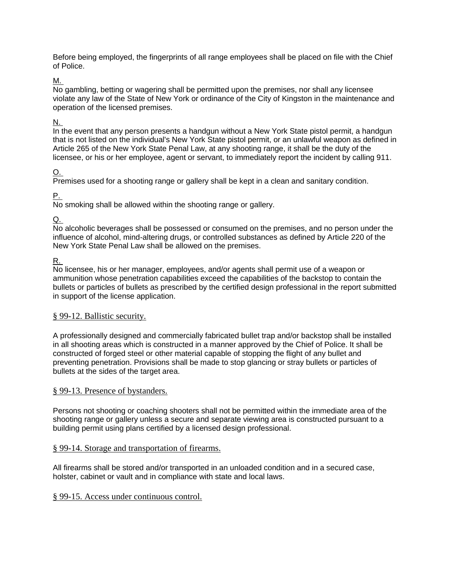Before being employed, the fingerprints of all range employees shall be placed on file with the Chief of Police.

#### [M.](http://www.ecode360.com/print/15455808#15455808)

No gambling, betting or wagering shall be permitted upon the premises, nor shall any licensee violate any law of the State of New York or ordinance of the City of Kingston in the maintenance and operation of the licensed premises.

# [N.](http://www.ecode360.com/print/15455809#15455809)

In the event that any person presents a handgun without a New York State pistol permit, a handgun that is not listed on the individual's New York State pistol permit, or an unlawful weapon as defined in Article 265 of the New York State Penal Law, at any shooting range, it shall be the duty of the licensee, or his or her employee, agent or servant, to immediately report the incident by calling 911.

# [O.](http://www.ecode360.com/print/15455810#15455810)

Premises used for a shooting range or gallery shall be kept in a clean and sanitary condition.

# [P.](http://www.ecode360.com/print/15455811#15455811)

No smoking shall be allowed within the shooting range or gallery.

# <u>[Q.](http://www.ecode360.com/print/15455812#15455812)</u>

No alcoholic beverages shall be possessed or consumed on the premises, and no person under the influence of alcohol, mind-altering drugs, or controlled substances as defined by Article 220 of the New York State Penal Law shall be allowed on the premises.

# [R.](http://www.ecode360.com/print/15455813#15455813)

No licensee, his or her manager, employees, and/or agents shall permit use of a weapon or ammunition whose penetration capabilities exceed the capabilities of the backstop to contain the bullets or particles of bullets as prescribed by the certified design professional in the report submitted in support of the license application.

# § [99-12. Ballistic security.](http://www.ecode360.com/print/RO0104?guid=8678371&children=true#15455814)

A professionally designed and commercially fabricated bullet trap and/or backstop shall be installed in all shooting areas which is constructed in a manner approved by the Chief of Police. It shall be constructed of forged steel or other material capable of stopping the flight of any bullet and preventing penetration. Provisions shall be made to stop glancing or stray bullets or particles of bullets at the sides of the target area.

# § [99-13. Presence of bystanders.](http://www.ecode360.com/print/RO0104?guid=8678371&children=true#15455815)

Persons not shooting or coaching shooters shall not be permitted within the immediate area of the shooting range or gallery unless a secure and separate viewing area is constructed pursuant to a building permit using plans certified by a licensed design professional.

# § [99-14. Storage and transportation of firearms.](http://www.ecode360.com/print/RO0104?guid=8678371&children=true#15455816)

All firearms shall be stored and/or transported in an unloaded condition and in a secured case, holster, cabinet or vault and in compliance with state and local laws.

# § [99-15. Access under continuous control.](http://www.ecode360.com/print/RO0104?guid=8678371&children=true#15455817)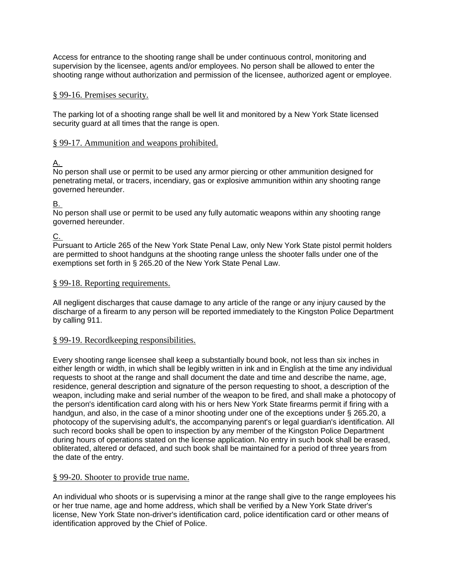Access for entrance to the shooting range shall be under continuous control, monitoring and supervision by the licensee, agents and/or employees. No person shall be allowed to enter the shooting range without authorization and permission of the licensee, authorized agent or employee.

### § [99-16. Premises security.](http://www.ecode360.com/print/RO0104?guid=8678371&children=true#15455818)

The parking lot of a shooting range shall be well lit and monitored by a New York State licensed security guard at all times that the range is open.

### § [99-17. Ammunition and weapons prohibited.](http://www.ecode360.com/print/RO0104?guid=8678371&children=true#15455819)

# [A.](http://www.ecode360.com/print/15455820#15455820)

No person shall use or permit to be used any armor piercing or other ammunition designed for penetrating metal, or tracers, incendiary, gas or explosive ammunition within any shooting range governed hereunder.

[B.](http://www.ecode360.com/print/15455821#15455821)

No person shall use or permit to be used any fully automatic weapons within any shooting range governed hereunder.

<u>[C.](http://www.ecode360.com/print/15455822#15455822)</u>

Pursuant to Article 265 of the New York State Penal Law, only New York State pistol permit holders are permitted to shoot handguns at the shooting range unless the shooter falls under one of the exemptions set forth in § 265.20 of the New York State Penal Law.

### § [99-18. Reporting requirements.](http://www.ecode360.com/print/RO0104?guid=8678371&children=true#15455823)

All negligent discharges that cause damage to any article of the range or any injury caused by the discharge of a firearm to any person will be reported immediately to the Kingston Police Department by calling 911.

#### § [99-19. Recordkeeping responsibilities.](http://www.ecode360.com/print/RO0104?guid=8678371&children=true#15455824)

Every shooting range licensee shall keep a substantially bound book, not less than six inches in either length or width, in which shall be legibly written in ink and in English at the time any individual requests to shoot at the range and shall document the date and time and describe the name, age, residence, general description and signature of the person requesting to shoot, a description of the weapon, including make and serial number of the weapon to be fired, and shall make a photocopy of the person's identification card along with his or hers New York State firearms permit if firing with a handgun, and also, in the case of a minor shooting under one of the exceptions under § 265.20, a photocopy of the supervising adult's, the accompanying parent's or legal guardian's identification. All such record books shall be open to inspection by any member of the Kingston Police Department during hours of operations stated on the license application. No entry in such book shall be erased, obliterated, altered or defaced, and such book shall be maintained for a period of three years from the date of the entry.

#### § [99-20. Shooter to provide true name.](http://www.ecode360.com/print/RO0104?guid=8678371&children=true#15455825)

An individual who shoots or is supervising a minor at the range shall give to the range employees his or her true name, age and home address, which shall be verified by a New York State driver's license, New York State non-driver's identification card, police identification card or other means of identification approved by the Chief of Police.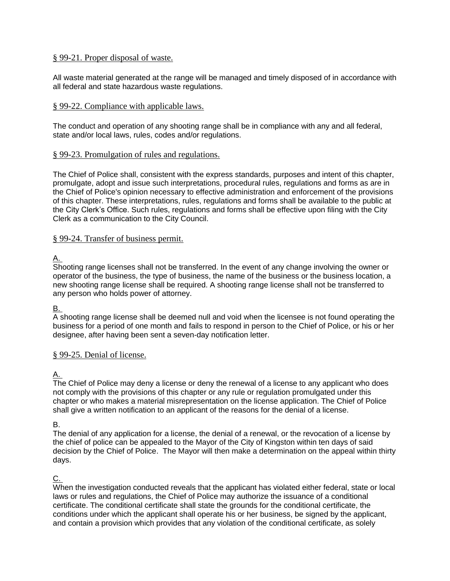### § [99-21. Proper disposal of waste.](http://www.ecode360.com/print/RO0104?guid=8678371&children=true#15455826)

All waste material generated at the range will be managed and timely disposed of in accordance with all federal and state hazardous waste regulations.

### § [99-22. Compliance with applicable laws.](http://www.ecode360.com/print/RO0104?guid=8678371&children=true#15455827)

The conduct and operation of any shooting range shall be in compliance with any and all federal, state and/or local laws, rules, codes and/or regulations.

### § [99-23. Promulgation of rules and regulations.](http://www.ecode360.com/print/RO0104?guid=8678371&children=true#15455828)

The Chief of Police shall, consistent with the express standards, purposes and intent of this chapter, promulgate, adopt and issue such interpretations, procedural rules, regulations and forms as are in the Chief of Police's opinion necessary to effective administration and enforcement of the provisions of this chapter. These interpretations, rules, regulations and forms shall be available to the public at the City Clerk's Office. Such rules, regulations and forms shall be effective upon filing with the City Clerk as a communication to the City Council.

### § [99-24. Transfer of business permit.](http://www.ecode360.com/print/RO0104?guid=8678371&children=true#15455829)

# [A.](http://www.ecode360.com/print/15455830#15455830)

Shooting range licenses shall not be transferred. In the event of any change involving the owner or operator of the business, the type of business, the name of the business or the business location, a new shooting range license shall be required. A shooting range license shall not be transferred to any person who holds power of attorney.

#### [B.](http://www.ecode360.com/print/15455831#15455831)

A shooting range license shall be deemed null and void when the licensee is not found operating the business for a period of one month and fails to respond in person to the Chief of Police, or his or her designee, after having been sent a seven-day notification letter.

# § [99-25. Denial of license.](http://www.ecode360.com/print/RO0104?guid=8678371&children=true#15455832)

# [A.](http://www.ecode360.com/print/15455833#15455833)

The Chief of Police may deny a license or deny the renewal of a license to any applicant who does not comply with the provisions of this chapter or any rule or regulation promulgated under this chapter or who makes a material misrepresentation on the license application. The Chief of Police shall give a written notification to an applicant of the reasons for the denial of a license.

#### B.

The denial of any application for a license, the denial of a renewal, or the revocation of a license by the chief of police can be appealed to the Mayor of the City of Kingston within ten days of said decision by the Chief of Police. The Mayor will then make a determination on the appeal within thirty days.

# [C.](http://www.ecode360.com/print/15455834#15455834)

When the investigation conducted reveals that the applicant has violated either federal, state or local laws or rules and regulations, the Chief of Police may authorize the issuance of a conditional certificate. The conditional certificate shall state the grounds for the conditional certificate, the conditions under which the applicant shall operate his or her business, be signed by the applicant, and contain a provision which provides that any violation of the conditional certificate, as solely